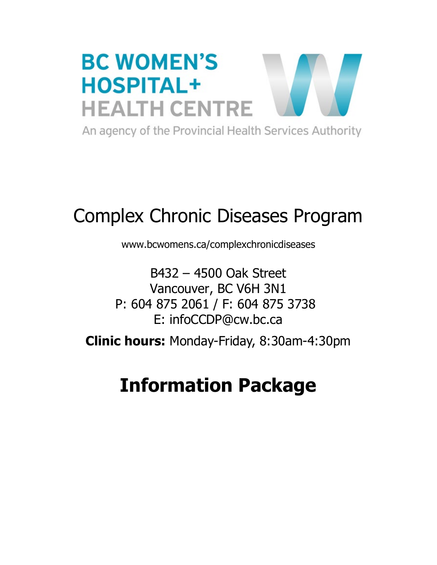

# Complex Chronic Diseases Program

www.bcwomens.ca/complexchronicdiseases

B432 – 4500 Oak Street Vancouver, BC V6H 3N1 P: 604 875 2061 / F: 604 875 3738 E: infoCCDP@cw.bc.ca

**Clinic hours:** Monday-Friday, 8:30am-4:30pm

# **Information Package**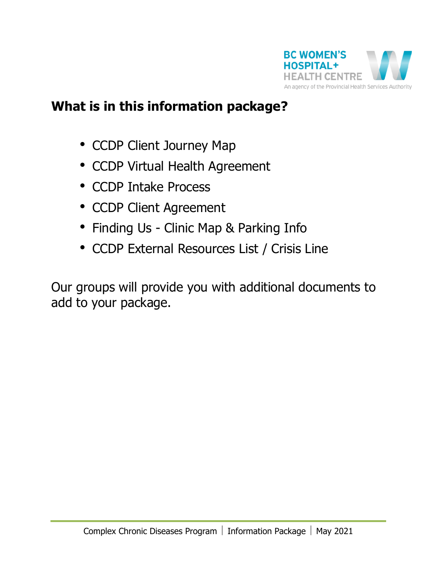

### **What is in this information package?**

- CCDP Client Journey Map
- CCDP Virtual Health Agreement
- CCDP Intake Process
- CCDP Client Agreement
- Finding Us Clinic Map & Parking Info
- CCDP External Resources List / Crisis Line

Our groups will provide you with additional documents to add to your package.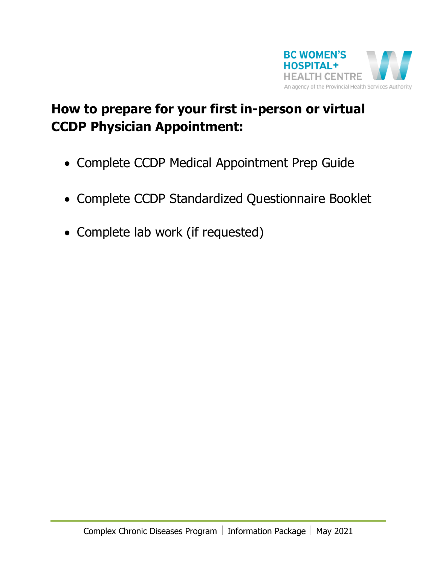

## **How to prepare for your first in-person or virtual CCDP Physician Appointment:**

- Complete CCDP Medical Appointment Prep Guide
- Complete CCDP Standardized Questionnaire Booklet
- Complete lab work (if requested)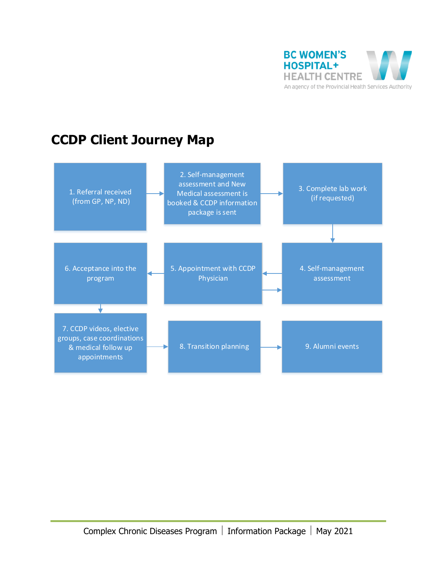

### **CCDP Client Journey Map**

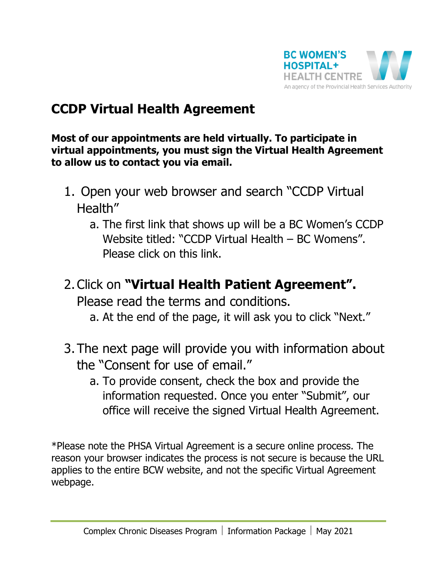

### **CCDP Virtual Health Agreement**

**Most of our appointments are held virtually. To participate in virtual appointments, you must sign the Virtual Health Agreement to allow us to contact you via email.**

- 1. Open your web browser and search "CCDP Virtual Health"
	- a. The first link that shows up will be a BC Women's CCDP Website titled: "CCDP Virtual Health – BC Womens". Please click on this link.
- 2.Click on **"Virtual Health Patient Agreement".** Please read the terms and conditions.
	- a. At the end of the page, it will ask you to click "Next."
- 3. The next page will provide you with information about the "Consent for use of email."
	- a. To provide consent, check the box and provide the information requested. Once you enter "Submit", our office will receive the signed Virtual Health Agreement.

\*Please note the PHSA Virtual Agreement is a secure online process. The reason your browser indicates the process is not secure is because the URL applies to the entire BCW website, and not the specific Virtual Agreement webpage.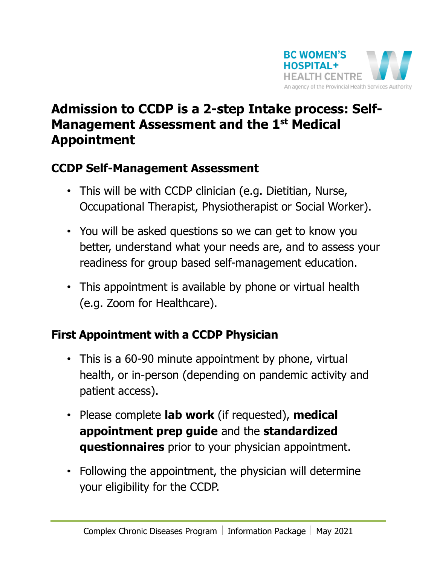

### **Admission to CCDP is a 2-step Intake process: Self-Management Assessment and the 1st Medical Appointment**

### **CCDP Self-Management Assessment**

- This will be with CCDP clinician (e.g. Dietitian, Nurse, Occupational Therapist, Physiotherapist or Social Worker).
- You will be asked questions so we can get to know you better, understand what your needs are, and to assess your readiness for group based self-management education.
- This appointment is available by phone or virtual health (e.g. Zoom for Healthcare).

### **First Appointment with a CCDP Physician**

- This is a 60-90 minute appointment by phone, virtual health, or in-person (depending on pandemic activity and patient access).
- Please complete **lab work** (if requested), **medical appointment prep guide** and the **standardized questionnaires** prior to your physician appointment.
- Following the appointment, the physician will determine your eligibility for the CCDP.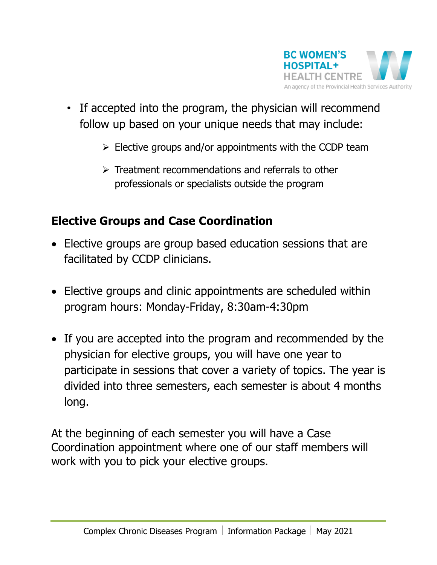

- If accepted into the program, the physician will recommend follow up based on your unique needs that may include:
	- $\triangleright$  Elective groups and/or appointments with the CCDP team
	- $\triangleright$  Treatment recommendations and referrals to other professionals or specialists outside the program

### **Elective Groups and Case Coordination**

- Elective groups are group based education sessions that are facilitated by CCDP clinicians.
- Elective groups and clinic appointments are scheduled within program hours: Monday-Friday, 8:30am-4:30pm
- If you are accepted into the program and recommended by the physician for elective groups, you will have one year to participate in sessions that cover a variety of topics. The year is divided into three semesters, each semester is about 4 months long.

At the beginning of each semester you will have a Case Coordination appointment where one of our staff members will work with you to pick your elective groups.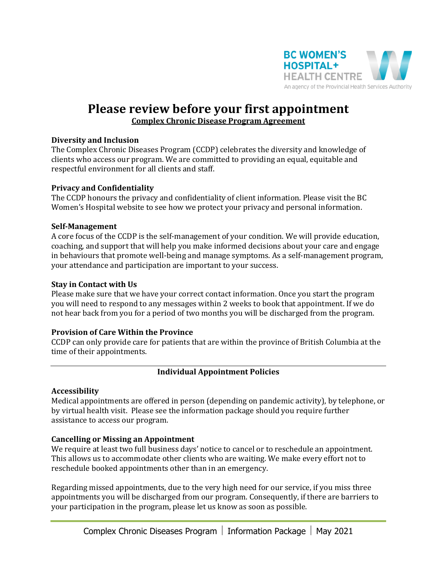

### **Please review before your first appointment Complex Chronic Disease Program Agreement**

#### **Diversity and Inclusion**

The Complex Chronic Diseases Program (CCDP) celebrates the diversity and knowledge of clients who access our program. We are committed to providing an equal, equitable and respectful environment for all clients and staff.

#### **Privacy and Confidentiality**

The CCDP honours the privacy and confidentiality of client information. Please visit the BC Women's Hospital website to see how we protect your privacy and personal information.

#### **Self-Management**

A core focus of the CCDP is the self-management of your condition. We will provide education, coaching, and support that will help you make informed decisions about your care and engage in behaviours that promote well-being and manage symptoms. As a self-management program, your attendance and participation are important to your success.

#### **Stay in Contact with Us**

Please make sure that we have your correct contact information. Once you start the program you will need to respond to any messages within 2 weeks to book that appointment. If we do not hear back from you for a period of two months you will be discharged from the program.

#### **Provision of Care Within the Province**

CCDP can only provide care for patients that are within the province of British Columbia at the time of their appointments.

#### **Individual Appointment Policies**

#### **Accessibility**

Medical appointments are offered in person (depending on pandemic activity), by telephone, or by virtual health visit. Please see the information package should you require further assistance to access our program.

#### **Cancelling or Missing an Appointment**

We require at least two full business days' notice to cancel or to reschedule an appointment. This allows us to accommodate other clients who are waiting. We make every effort not to reschedule booked appointments other than in an emergency.

Regarding missed appointments, due to the very high need for our service, if you miss three appointments you will be discharged from our program. Consequently, if there are barriers to your participation in the program, please let us know as soon as possible.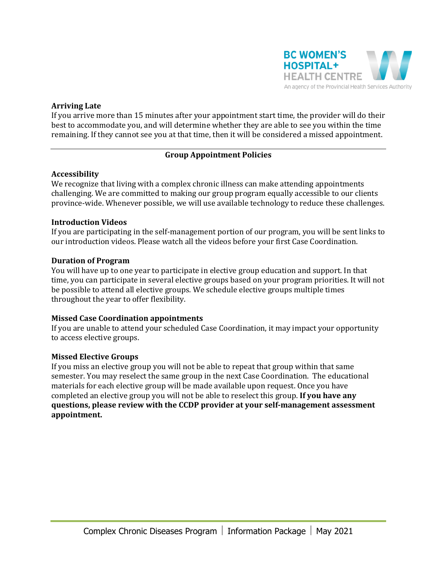

#### **Arriving Late**

If you arrive more than 15 minutes after your appointment start time, the provider will do their best to accommodate you, and will determine whether they are able to see you within the time remaining. If they cannot see you at that time, then it will be considered a missed appointment.

#### **Group Appointment Policies**

#### **Accessibility**

We recognize that living with a complex chronic illness can make attending appointments challenging. We are committed to making our group program equally accessible to our clients province-wide. Whenever possible, we will use available technology to reduce these challenges.

#### **Introduction Videos**

If you are participating in the self-management portion of our program, you will be sent links to our introduction videos. Please watch all the videos before your first Case Coordination.

#### **Duration of Program**

You will have up to one year to participate in elective group education and support. In that time, you can participate in several elective groups based on your program priorities. It will not be possible to attend all elective groups. We schedule elective groups multiple times throughout the year to offer flexibility.

#### **Missed Case Coordination appointments**

If you are unable to attend your scheduled Case Coordination, it may impact your opportunity to access elective groups.

#### **Missed Elective Groups**

If you miss an elective group you will not be able to repeat that group within that same semester. You may reselect the same group in the next Case Coordination. The educational materials for each elective group will be made available upon request. Once you have completed an elective group you will not be able to reselect this group. **If you have any questions, please review with the CCDP provider at your self-management assessment appointment.**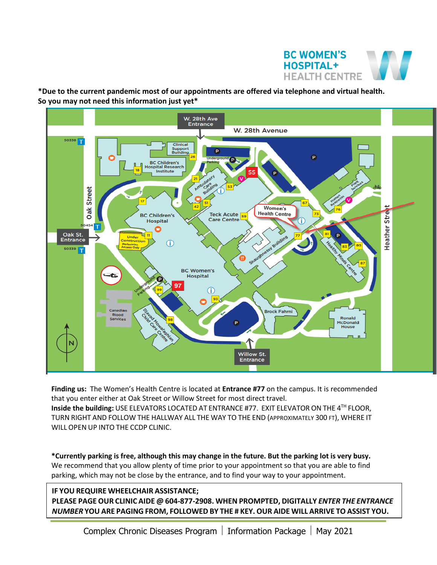

**\*Due to the current pandemic most of our appointments are offered via telephone and virtual health. So you may not need this information just yet\***



**Finding us:** The Women's Health Centre is located at **Entrance #77** on the campus. It is recommended that you enter either at Oak Street or Willow Street for most direct travel. **Inside the building:** USE ELEVATORS LOCATED AT ENTRANCE #77. EXIT ELEVATOR ON THE 4TH FLOOR, TURN RIGHT AND FOLLOW THE HALLWAY ALL THE WAY TO THE END (APPROXIMATELY 300 FT), WHERE IT WILL OPEN UP INTO THE CCDP CLINIC.

**\*Currently parking is free, although this may change in the future. But the parking lot is very busy.** We recommend that you allow plenty of time prior to your appointment so that you are able to find parking, which may not be close by the entrance, and to find your way to your appointment.

#### **IF YOU REQUIRE WHEELCHAIR ASSISTANCE; PLEASE PAGE OUR CLINIC AIDE @ 604-877-2908. WHEN PROMPTED, DIGITALLY** *ENTER THE ENTRANCE NUMBER* **YOU ARE PAGING FROM, FOLLOWED BY THE # KEY. OUR AIDE WILL ARRIVE TO ASSIST YOU.**

Complex Chronic Diseases Program | Information Package | May 2021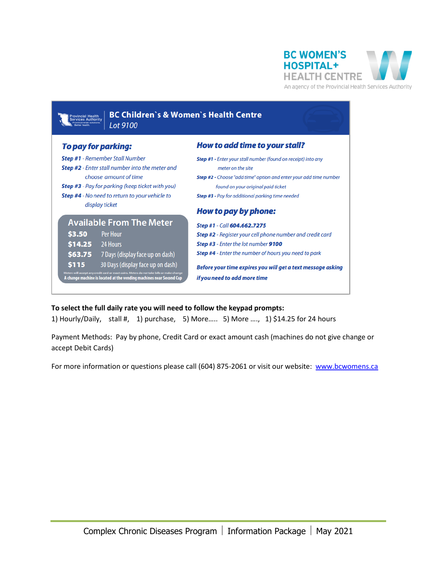

\$3.50

\$115

 $$14.25$ 

**BC Children's & Women's Health Centre** Lot 9100

#### To pay for parking:

**Step #1** - Remember Stall Number

display ticket

Step #2 - Enter stall number into the meter and

Step #3 - Pay for parking (keep ticket with you)

**Available From The Meter** 

\$63.75 7 Days (display face up on dash)

30 Days (display face up on dash)

any crean card or exact coins, meters do not take bills or make chann<br>tine is located at the vending machines near Second Cu

**Per Hour** 

24 Hours

Step #4 - No need to return to your vehicle to

choose amount of time

How to add time to your stall?

- Step #1 Enter your stall number (found on receipt) into any meter on the site
- Step #2 Choose "add time" option and enter your add time number found on your original paid ticket
- Step #3 Pay for additional parking time needed

#### How to pay by phone:

Step #1 - Call 604.662.7275

Step #2 - Register your cell phone number and credit card Step #3 - Enter the lot number 9100 Step #4 - Enter the number of hours you need to park

Before your time expires you will get a text message asking if you need to add more time

#### **To select the full daily rate you will need to follow the keypad prompts:**

1) Hourly/Daily, stall #, 1) purchase, 5) More….. 5) More …., 1) \$14.25 for 24 hours

Payment Methods: Pay by phone, Credit Card or exact amount cash (machines do not give change or accept Debit Cards)

For more information or questions please call (604) 875-2061 or visit our website: [www.bcwomens.ca](http://www.bcwomens.ca/)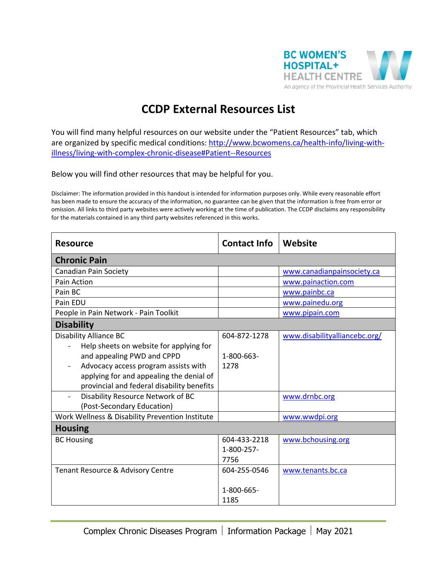

### **CCDP External Resources List**

You will find many helpful resources on our website under the "Patient Resources" tab, which are organized by specific medical conditions: [http://www.bcwomens.ca/health-info/living-with](http://www.bcwomens.ca/health-info/living-with-illness/living-with-complex-chronic-disease#Patient--Resources)[illness/living-with-complex-chronic-disease#Patient--Resources](http://www.bcwomens.ca/health-info/living-with-illness/living-with-complex-chronic-disease#Patient--Resources)

Below you will find other resources that may be helpful for you.

Disclaimer: The information provided in this handout is intended for information purposes only. While every reasonable effort has been made to ensure the accuracy of the information, no guarantee can be given that the information is free from error or omission. All links to third party websites were actively working at the time of publication. The CCDP disclaims any responsibility for the materials contained in any third party websites referenced in this works.

| <b>Resource</b>                                                          | <b>Contact Info</b> | Website                       |  |  |
|--------------------------------------------------------------------------|---------------------|-------------------------------|--|--|
| <b>Chronic Pain</b>                                                      |                     |                               |  |  |
| <b>Canadian Pain Society</b>                                             |                     | www.canadianpainsociety.ca    |  |  |
| Pain Action                                                              |                     | www.painaction.com            |  |  |
| Pain BC                                                                  |                     | www.painbc.ca                 |  |  |
| Pain EDU                                                                 |                     | www.painedu.org               |  |  |
| People in Pain Network - Pain Toolkit                                    |                     | www.pipain.com                |  |  |
| <b>Disability</b>                                                        |                     |                               |  |  |
| <b>Disability Alliance BC</b><br>Help sheets on website for applying for | 604-872-1278        | www.disabilityalliancebc.org/ |  |  |
| and appealing PWD and CPPD                                               | 1-800-663-          |                               |  |  |
| Advocacy access program assists with                                     | 1278                |                               |  |  |
| applying for and appealing the denial of                                 |                     |                               |  |  |
| provincial and federal disability benefits                               |                     |                               |  |  |
| Disability Resource Network of BC<br>(Post-Secondary Education)          |                     | www.drnbc.org                 |  |  |
| Work Wellness & Disability Prevention Institute                          |                     | www.wwdpi.org                 |  |  |
| <b>Housing</b>                                                           |                     |                               |  |  |
| <b>BC Housing</b>                                                        | 604-433-2218        | www.bchousing.org             |  |  |
|                                                                          | 1-800-257-          |                               |  |  |
|                                                                          | 7756                |                               |  |  |
| Tenant Resource & Advisory Centre                                        | 604-255-0546        | www.tenants.bc.ca             |  |  |
|                                                                          | 1-800-665-<br>1185  |                               |  |  |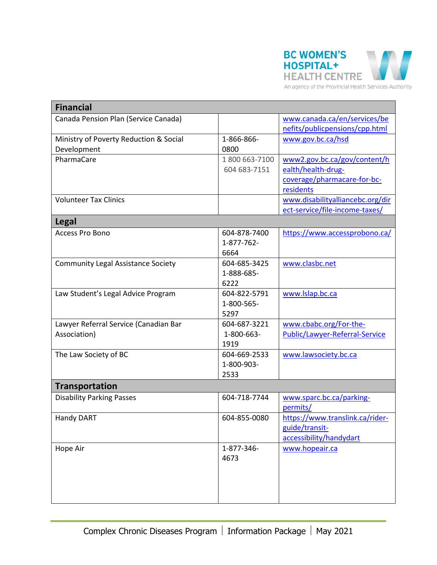

| <b>Financial</b>                                      |                                    |                                                                                                |
|-------------------------------------------------------|------------------------------------|------------------------------------------------------------------------------------------------|
| Canada Pension Plan (Service Canada)                  |                                    | www.canada.ca/en/services/be<br>nefits/publicpensions/cpp.html                                 |
| Ministry of Poverty Reduction & Social<br>Development | 1-866-866-<br>0800                 | www.gov.bc.ca/hsd                                                                              |
| PharmaCare                                            | 1800 663-7100<br>604 683-7151      | www2.gov.bc.ca/gov/content/h<br>ealth/health-drug-<br>coverage/pharmacare-for-bc-<br>residents |
| <b>Volunteer Tax Clinics</b>                          |                                    | www.disabilityalliancebc.org/dir<br>ect-service/file-income-taxes/                             |
| <b>Legal</b>                                          |                                    |                                                                                                |
| <b>Access Pro Bono</b>                                | 604-878-7400<br>1-877-762-<br>6664 | https://www.accessprobono.ca/                                                                  |
| <b>Community Legal Assistance Society</b>             | 604-685-3425<br>1-888-685-<br>6222 | www.clasbc.net                                                                                 |
| Law Student's Legal Advice Program                    | 604-822-5791<br>1-800-565-<br>5297 | www.lslap.bc.ca                                                                                |
| Lawyer Referral Service (Canadian Bar<br>Association) | 604-687-3221<br>1-800-663-<br>1919 | www.cbabc.org/For-the-<br>Public/Lawyer-Referral-Service                                       |
| The Law Society of BC                                 | 604-669-2533<br>1-800-903-<br>2533 | www.lawsociety.bc.ca                                                                           |
| <b>Transportation</b>                                 |                                    |                                                                                                |
| <b>Disability Parking Passes</b>                      | 604-718-7744                       | www.sparc.bc.ca/parking-<br>permits/                                                           |
| Handy DART                                            | 604-855-0080                       | https://www.translink.ca/rider-<br>guide/transit-<br>accessibility/handydart                   |
| Hope Air                                              | 1-877-346-<br>4673                 | www.hopeair.ca                                                                                 |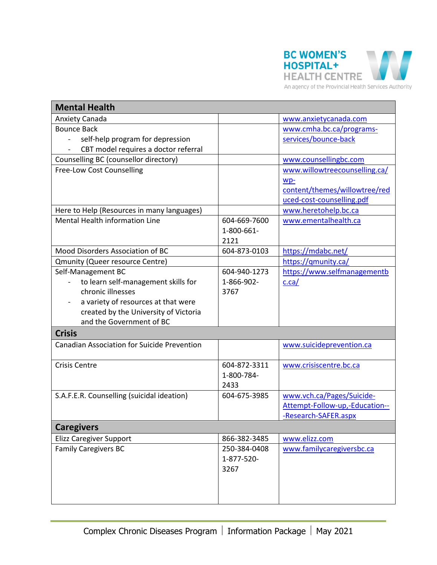

| <b>Mental Health</b>                               |              |                                                             |
|----------------------------------------------------|--------------|-------------------------------------------------------------|
| <b>Anxiety Canada</b>                              |              | www.anxietycanada.com                                       |
| <b>Bounce Back</b>                                 |              | www.cmha.bc.ca/programs-                                    |
| self-help program for depression                   |              | services/bounce-back                                        |
| CBT model requires a doctor referral               |              |                                                             |
| Counselling BC (counsellor directory)              |              | www.counsellingbc.com                                       |
| Free-Low Cost Counselling                          |              | www.willowtreecounselling.ca/                               |
|                                                    |              | wp-                                                         |
|                                                    |              | content/themes/willowtree/red                               |
|                                                    |              | uced-cost-counselling.pdf                                   |
| Here to Help (Resources in many languages)         |              | www.heretohelp.bc.ca                                        |
| <b>Mental Health information Line</b>              | 604-669-7600 | www.ementalhealth.ca                                        |
|                                                    | 1-800-661-   |                                                             |
|                                                    | 2121         |                                                             |
| Mood Disorders Association of BC                   | 604-873-0103 | https://mdabc.net/                                          |
| <b>Qmunity (Queer resource Centre)</b>             |              | https://qmunity.ca/                                         |
| Self-Management BC                                 | 604-940-1273 | https://www.selfmanagementb                                 |
| to learn self-management skills for                | 1-866-902-   | c.ca/                                                       |
| chronic illnesses                                  | 3767         |                                                             |
| a variety of resources at that were                |              |                                                             |
| created by the University of Victoria              |              |                                                             |
| and the Government of BC                           |              |                                                             |
| <b>Crisis</b>                                      |              |                                                             |
| <b>Canadian Association for Suicide Prevention</b> |              | www.suicideprevention.ca                                    |
| <b>Crisis Centre</b>                               | 604-872-3311 | www.crisiscentre.bc.ca                                      |
|                                                    | 1-800-784-   |                                                             |
|                                                    | 2433         |                                                             |
| S.A.F.E.R. Counselling (suicidal ideation)         | 604-675-3985 |                                                             |
|                                                    |              | www.vch.ca/Pages/Suicide-<br>Attempt-Follow-up,-Education-- |
|                                                    |              | -Research-SAFER.aspx                                        |
|                                                    |              |                                                             |
| <b>Caregivers</b>                                  |              |                                                             |
| <b>Elizz Caregiver Support</b>                     | 866-382-3485 | www.elizz.com                                               |
| <b>Family Caregivers BC</b>                        | 250-384-0408 | www.familycaregiversbc.ca                                   |
|                                                    | 1-877-520-   |                                                             |
|                                                    | 3267         |                                                             |
|                                                    |              |                                                             |
|                                                    |              |                                                             |
|                                                    |              |                                                             |